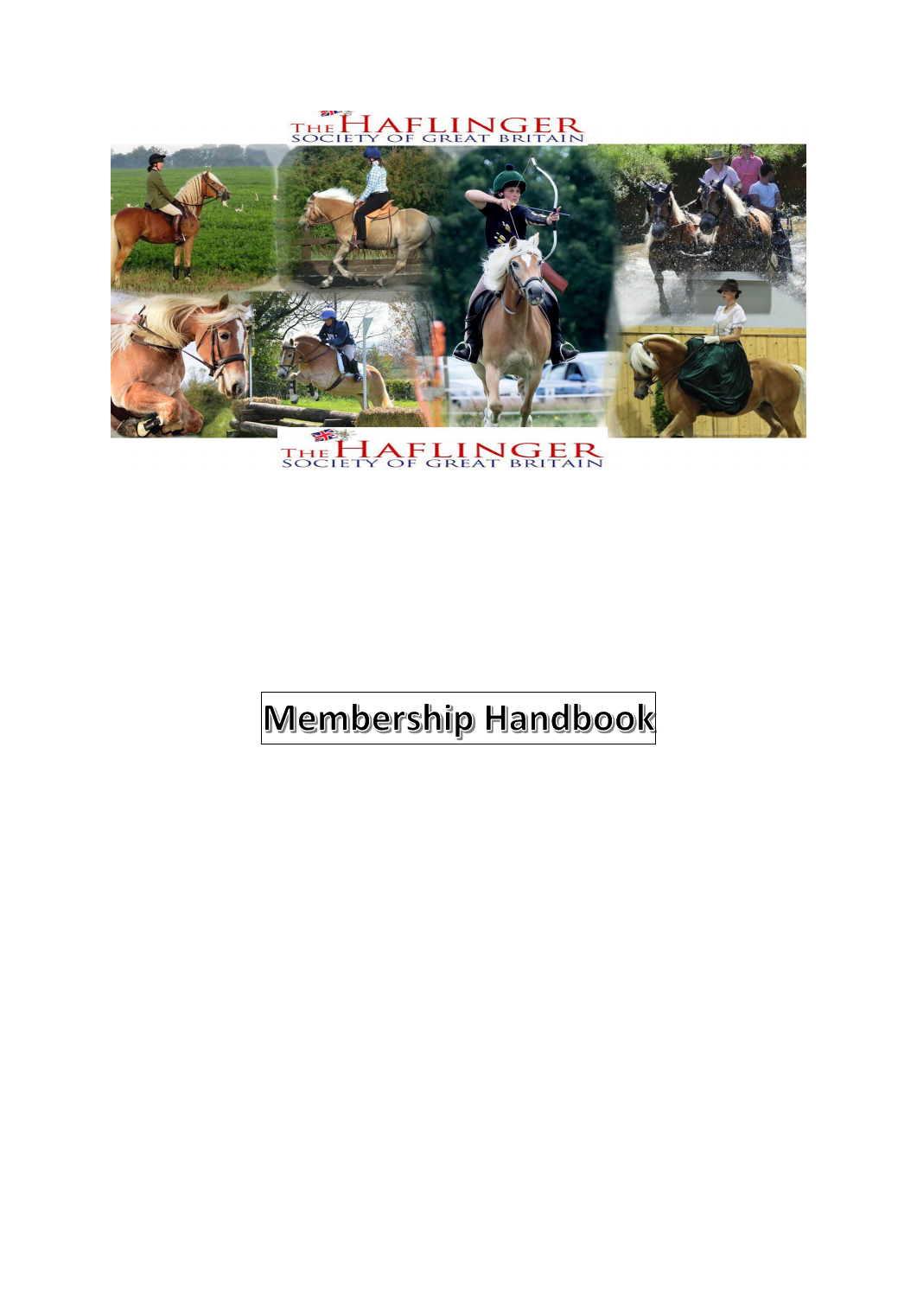THE HAFLINGER



THE HAFLINGER

## Membership Handbook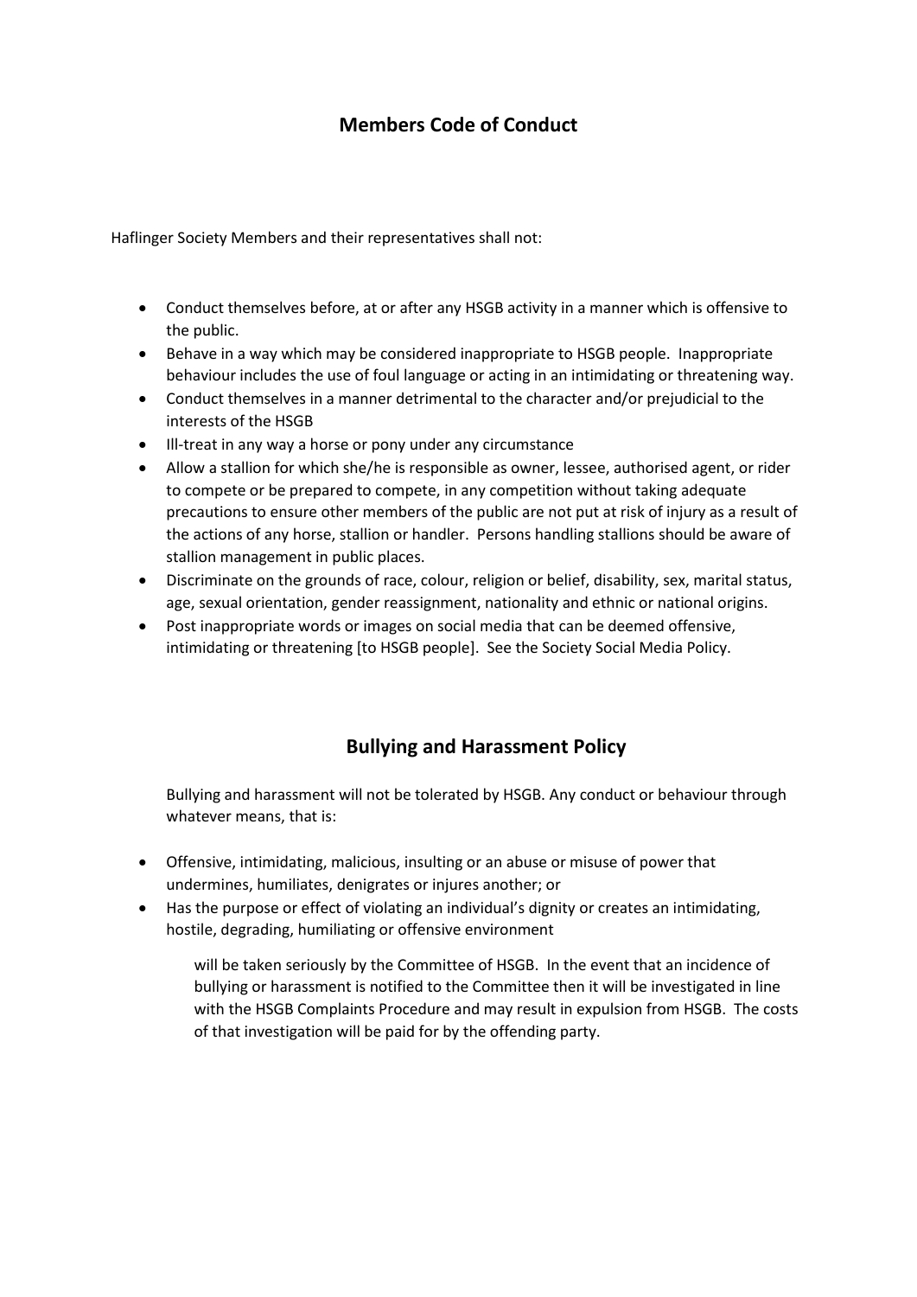## **Members Code of Conduct**

Haflinger Society Members and their representatives shall not:

- Conduct themselves before, at or after any HSGB activity in a manner which is offensive to the public.
- Behave in a way which may be considered inappropriate to HSGB people. Inappropriate behaviour includes the use of foul language or acting in an intimidating or threatening way.
- Conduct themselves in a manner detrimental to the character and/or prejudicial to the interests of the HSGB
- Ill-treat in any way a horse or pony under any circumstance
- Allow a stallion for which she/he is responsible as owner, lessee, authorised agent, or rider to compete or be prepared to compete, in any competition without taking adequate precautions to ensure other members of the public are not put at risk of injury as a result of the actions of any horse, stallion or handler. Persons handling stallions should be aware of stallion management in public places.
- Discriminate on the grounds of race, colour, religion or belief, disability, sex, marital status, age, sexual orientation, gender reassignment, nationality and ethnic or national origins.
- Post inappropriate words or images on social media that can be deemed offensive, intimidating or threatening [to HSGB people]. See the Society Social Media Policy.

## **Bullying and Harassment Policy**

Bullying and harassment will not be tolerated by HSGB. Any conduct or behaviour through whatever means, that is:

- Offensive, intimidating, malicious, insulting or an abuse or misuse of power that undermines, humiliates, denigrates or injures another; or
- Has the purpose or effect of violating an individual's dignity or creates an intimidating, hostile, degrading, humiliating or offensive environment

will be taken seriously by the Committee of HSGB. In the event that an incidence of bullying or harassment is notified to the Committee then it will be investigated in line with the HSGB Complaints Procedure and may result in expulsion from HSGB. The costs of that investigation will be paid for by the offending party.